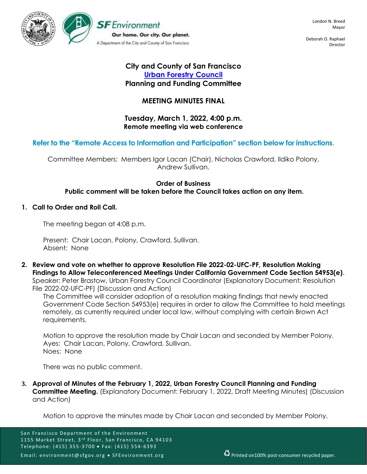

Deborah O. Raphael Director

# **City and County of San Francisco [Urban Forestry Council](https://sfenvironment.org/about/taskforce/urban-forestry-council) Planning and Funding Committee**

# **MEETING MINUTES FINAL**

# **Tuesday, March 1, 2022, 4:00 p.m. Remote meeting via web conference**

# **Refer to the "Remote Access to Information and Participation" section below for instructions.**

Committee Members: Members Igor Lacan (Chair), Nicholas Crawford, Ildiko Polony, Andrew Sullivan.

### **Order of Business**

**Public comment will be taken before the Council takes action on any item.**

## **1. Call to Order and Roll Call.**

The meeting began at 4:08 p.m.

Present: Chair Lacan, Polony, Crawford, Sullivan. Absent: None

**2. Review and vote on whether to approve Resolution File 2022-02-UFC-PF, Resolution Making Findings to Allow Teleconferenced Meetings Under California Government Code Section 54953(e)**. Speaker: Peter Brastow, Urban Forestry Council Coordinator (Explanatory Document: Resolution File 2022-02-UFC-PF) (Discussion and Action)

The Committee will consider adoption of a resolution making findings that newly enacted Government Code Section 54953(e) requires in order to allow the Committee to hold meetings remotely, as currently required under local law, without complying with certain Brown Act requirements.

Motion to approve the resolution made by Chair Lacan and seconded by Member Polony. Ayes: Chair Lacan, Polony, Crawford, Sullivan. Noes: None

There was no public comment.

**3. Approval of Minutes of the February 1, 2022, Urban Forestry Council Planning and Funding Committee Meeting.** (Explanatory Document: February 1, 2022, Draft Meeting Minutes) (Discussion and Action)

Motion to approve the minutes made by Chair Lacan and seconded by Member Polony.

San Francisco Department of the Environment 1155 Market Street, 3<sup>rd</sup> Floor, San Francisco, CA 94103 Telephone: (415) 355-3700 • Fax: (415) 554-6393 Email: environment@sfgov.org • SFEnvironment.org Printed on100% post-consumer recycled paper.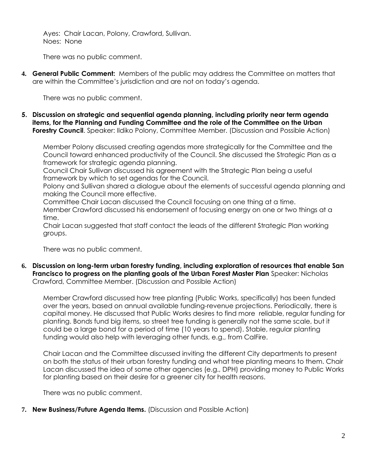Ayes: Chair Lacan, Polony, Crawford, Sullivan. Noes: None

There was no public comment.

**4. General Public Comment:** Members of the public may address the Committee on matters that are within the Committee's jurisdiction and are not on today's agenda.

There was no public comment.

**5. Discussion on strategic and sequential agenda planning, including priority near term agenda items, for the Planning and Funding Committee and the role of the Committee on the Urban Forestry Council**. Speaker: Ildiko Polony, Committee Member. (Discussion and Possible Action)

Member Polony discussed creating agendas more strategically for the Committee and the Council toward enhanced productivity of the Council. She discussed the Strategic Plan as a framework for strategic agenda planning.

Council Chair Sullivan discussed his agreement with the Strategic Plan being a useful framework by which to set agendas for the Council.

Polony and Sullivan shared a dialogue about the elements of successful agenda planning and making the Council more effective.

Committee Chair Lacan discussed the Council focusing on one thing at a time.

Member Crawford discussed his endorsement of focusing energy on one or two things at a time.

Chair Lacan suggested that staff contact the leads of the different Strategic Plan working groups.

There was no public comment.

**6. Discussion on long-term urban forestry funding, including exploration of resources that enable San Francisco to progress on the planting goals of the Urban Forest Master Plan** Speaker: Nicholas Crawford, Committee Member. (Discussion and Possible Action)

Member Crawford discussed how tree planting (Public Works, specifically) has been funded over the years, based on annual available funding-revenue projections. Periodically, there is capital money. He discussed that Public Works desires to find more reliable, regular funding for planting. Bonds fund big items, so street tree funding is generally not the same scale, but it could be a large bond for a period of time (10 years to spend). Stable, regular planting funding would also help with leveraging other funds, e.g., from CalFire.

Chair Lacan and the Committee discussed inviting the different City departments to present on both the status of their urban forestry funding and what tree planting means to them. Chair Lacan discussed the idea of some other agencies (e.g., DPH) providing money to Public Works for planting based on their desire for a greener city for health reasons.

There was no public comment.

**7. New Business/Future Agenda Items.** (Discussion and Possible Action)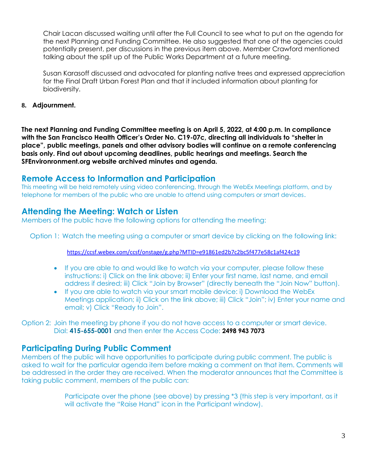Chair Lacan discussed waiting until after the Full Council to see what to put on the agenda for the next Planning and Funding Committee. He also suggested that one of the agencies could potentially present, per discussions in the previous item above. Member Crawford mentioned talking about the split up of the Public Works Department at a future meeting.

Susan Karasoff discussed and advocated for planting native trees and expressed appreciation for the Final Draft Urban Forest Plan and that it included information about planting for biodiversity.

## **8. Adjournment.**

**The next Planning and Funding Committee meeting is on April 5, 2022, at 4:00 p.m. In compliance with the San Francisco Health Officer's Order No. C19-07c, directing all individuals to "shelter in place", public meetings, panels and other advisory bodies will continue on a remote conferencing basis only. Find out about upcoming deadlines, public hearings and meetings. Search the SFEnvironronment.org website archived minutes and agenda.**

# **Remote Access to Information and Participation**

This meeting will be held remotely using video conferencing, through the WebEx Meetings platform, and by telephone for members of the public who are unable to attend using computers or smart devices.

# **Attending the Meeting: Watch or Listen**

Members of the public have the following options for attending the meeting:

Option 1: Watch the meeting using a computer or smart device by clicking on the following link:

<https://ccsf.webex.com/ccsf/onstage/g.php?MTID=e91861ed2b7c2bc5f477e58c1af424c19>

- If you are able to and would like to watch via your computer, please follow these instructions: i) Click on the link above; ii) Enter your first name, last name, and email address if desired; iii) Click "Join by Browser" (directly beneath the "Join Now" button).
- If you are able to watch via your smart mobile device: i) Download the WebEx Meetings application; ii) Click on the link above; iii) Click "Join"; iv) Enter your name and email; v) Click "Ready to Join".

Option 2: Join the meeting by phone if you do not have access to a computer or smart device. Dial: **415-655-0001** and then enter the Access Code: **2498 943 7073**

# **Participating During Public Comment**

Members of the public will have opportunities to participate during public comment. The public is asked to wait for the particular agenda item before making a comment on that item. Comments will be addressed in the order they are received. When the moderator announces that the Committee is taking public comment, members of the public can:

> Participate over the phone (see above) by pressing \*3 (this step is very important, as it will activate the "Raise Hand" icon in the Participant window).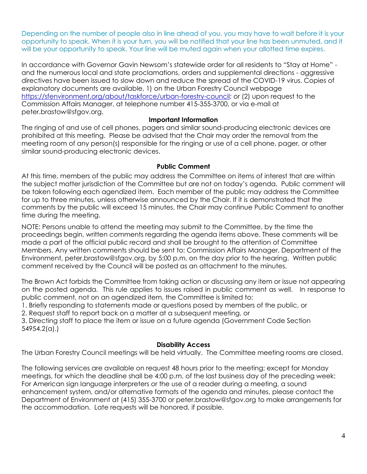Depending on the number of people also in line ahead of you, you may have to wait before it is your opportunity to speak. When it is your turn, you will be notified that your line has been unmuted, and it will be your opportunity to speak. Your line will be muted again when your allotted time expires.

In accordance with Governor Gavin Newsom's statewide order for all residents to "Stay at Home" and the numerous local and state proclamations, orders and supplemental directions - aggressive directives have been issued to slow down and reduce the spread of the COVID-19 virus. Copies of explanatory documents are available, 1) on the Urban Forestry Council webpage [https://sfenvironment.org/about/taskforce/urban-forestry-council;](https://sfenvironment.org/about/taskforce/urban-forestry-council) or (2) upon request to the Commission Affairs Manager, at telephone number 415-355-3700, or via e-mail at peter.brastow@sfgov.org.

## **Important Information**

The ringing of and use of cell phones, pagers and similar sound-producing electronic devices are prohibited at this meeting. Please be advised that the Chair may order the removal from the meeting room of any person(s) responsible for the ringing or use of a cell phone, pager, or other similar sound-producing electronic devices.

## **Public Comment**

At this time, members of the public may address the Committee on items of interest that are within the subject matter jurisdiction of the Committee but are not on today's agenda. Public comment will be taken following each agendized item. Each member of the public may address the Committee for up to three minutes, unless otherwise announced by the Chair. If it is demonstrated that the comments by the public will exceed 15 minutes, the Chair may continue Public Comment to another time during the meeting.

NOTE: Persons unable to attend the meeting may submit to the Committee, by the time the proceedings begin, written comments regarding the agenda items above. These comments will be made a part of the official public record and shall be brought to the attention of Committee Members. Any written comments should be sent to: Commission Affairs Manager, Department of the Environment, peter.brastow@sfgov.org, by 5:00 p.m. on the day prior to the hearing. Written public comment received by the Council will be posted as an attachment to the minutes.

The Brown Act forbids the Committee from taking action or discussing any item or issue not appearing on the posted agenda. This rule applies to issues raised in public comment as well. In response to public comment, not on an agendized item, the Committee is limited to:

- 1. Briefly responding to statements made or questions posed by members of the public, or
- 2. Request staff to report back on a matter at a subsequent meeting, or

3. Directing staff to place the item or issue on a future agenda (Government Code Section 54954.2(a).)

### **Disability Access**

The Urban Forestry Council meetings will be held virtually. The Committee meeting rooms are closed.

The following services are available on request 48 hours prior to the meeting; except for Monday meetings, for which the deadline shall be 4:00 p.m. of the last business day of the preceding week: For American sign language interpreters or the use of a reader during a meeting, a sound enhancement system, and/or alternative formats of the agenda and minutes, please contact the Department of Environment at (415) 355-3700 or peter.brastow@sfgov.org to make arrangements for the accommodation. Late requests will be honored, if possible.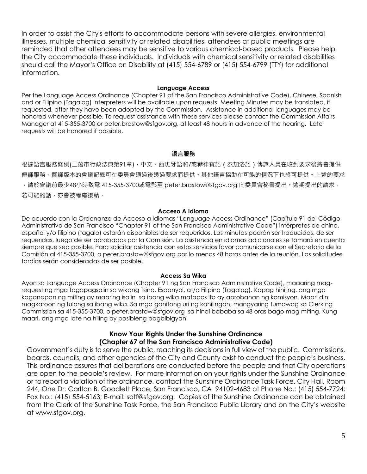In order to assist the City's efforts to accommodate persons with severe allergies, environmental illnesses, multiple chemical sensitivity or related disabilities, attendees at public meetings are reminded that other attendees may be sensitive to various chemical-based products. Please help the City accommodate these individuals. Individuals with chemical sensitivity or related disabilities should call the Mayor's Office on Disability at (415) 554-6789 or (415) 554-6799 (TTY) for additional information.

#### **Language Access**

Per the Language Access Ordinance (Chapter 91 of the San Francisco Administrative Code), Chinese, Spanish and or Filipino (Tagalog) interpreters will be available upon requests. Meeting Minutes may be translated, if requested, after they have been adopted by the Commission. Assistance in additional languages may be honored whenever possible. To request assistance with these services please contact the Commission Affairs Manager at 415-355-3700 or peter.brastow@sfgov.org, at least 48 hours in advance of the hearing. Late requests will be honored if possible.

#### **語言服務**

根據語言服務條例(三藩市行政法典第91章),中文、西班牙語和/或菲律賓語(泰加洛語)傳譯人員在收到要求後將會提供 傳譯服務。翻譯版本的會議記錄可在委員會通過後透過要求而提供。其他語言協助在可能的情況下也將可提供。上述的要求  $\cdot$ 請於會議前最少48小時致電 415-355-3700或電郵至 [p](mailto:%20katie.chansler@sfgov.org)eter.brastow@sfgov.org 向委員會秘書提出。逾期提出的請求 $\cdot$ 若可能的話,亦會被考慮接納。

#### **Acceso A Idioma**

De acuerdo con la Ordenanza de Acceso a Idiomas "Language Access Ordinance" (Capítulo 91 del Código Administrativo de San Francisco "Chapter 91 of the San Francisco Administrative Code") intérpretes de chino, español y/o filipino (tagalo) estarán disponibles de ser requeridos. Las minutas podrán ser traducidas, de ser requeridas, luego de ser aprobadas por la Comisión. La asistencia en idiomas adicionales se tomará en cuenta siempre que sea posible. Para solicitar asistencia con estos servicios favor comunicarse con el Secretario de la Comisión al 415-355-3700, o peter.brastow@sfgov.org por lo menos 48 horas antes de la reunión. Las solicitudes tardías serán consideradas de ser posible.

### **Access Sa Wika**

Ayon sa Language Access Ordinance (Chapter 91 ng San Francisco Administrative Code), maaaring magrequest ng mga tagapagsalin sa wikang Tsino, Espanyol, at/o Filipino (Tagalog). Kapag hiniling, ang mga kaganapan ng miting ay maaring isalin sa ibang wika matapos ito ay aprobahan ng komisyon. Maari din magkaroon ng tulong sa ibang wika. Sa mga ganitong uri ng kahilingan, mangyaring tumawag sa Clerk ng Commission sa 415-355-3700, o peter.brastow@sfgov.org sa hindi bababa sa 48 oras bago mag miting. Kung maari, ang mga late na hiling ay posibleng pagbibigyan.

## **Know Your Rights Under the Sunshine Ordinance (Chapter 67 of the San Francisco Administrative Code)**

Government's duty is to serve the public, reaching its decisions in full view of the public. Commissions, boards, councils, and other agencies of the City and County exist to conduct the people's business. This ordinance assures that deliberations are conducted before the people and that City operations are open to the people's review. For more information on your rights under the Sunshine Ordinance or to report a violation of the ordinance, contact the Sunshine Ordinance Task Force, City Hall, Room 244, One Dr. Carlton B. Goodlett Place, San Francisco, CA 94102-4683 at Phone No.: (415) 554-7724; Fax No.: (415) 554-5163; E-mail: sotf@sfgov.org. Copies of the Sunshine Ordinance can be obtained from the Clerk of the Sunshine Task Force, the San Francisco Public Library and on the City's website at www.sfgov.org.